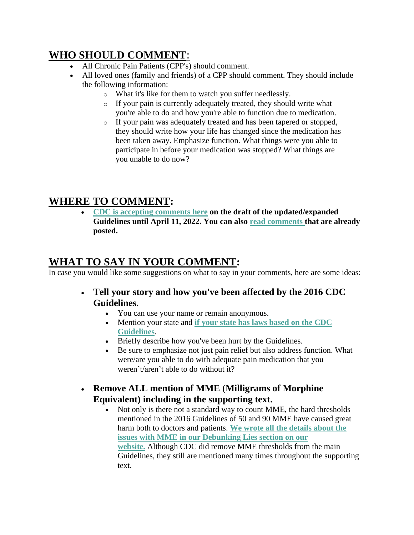## **WHO SHOULD COMMENT:**

- All Chronic Pain Patients (CPP's) should comment.
- All loved ones (family and friends) of a CPP should comment. They should include the following information:
	- o What it's like for them to watch you suffer needlessly.
	- o If your pain is currently adequately treated, they should write what you're able to do and how you're able to function due to medication.
	- o If your pain was adequately treated and has been tapered or stopped, they should write how your life has changed since the medication has been taken away. Emphasize function. What things were you able to participate in before your medication was stopped? What things are you unable to do now?

## **WHERE TO COMMENT:**

• **[CDC is accepting comments here](https://www.federalregister.gov/documents/2022/02/10/2022-02802/proposed-2022-cdc-clinical-practice-guideline-for-prescribing-opioids) on the draft of the updated/expanded Guidelines until April 11, 2022. You can also [read comments](https://www.regulations.gov/document/CDC-2022-0024-0001/comment) that are already posted.**

## **WHAT TO SAY IN YOUR COMMENT:**

In case you would like some suggestions on what to say in your comments, here are some ideas:

- **Tell your story and how you've been affected by the 2016 CDC Guidelines.**
	- You can use your name or remain anonymous.
	- Mention your state and **[if your state has laws based on the CDC](https://www.thedoctorpatientforum.com/images/50-State-Survey-Laws-Limiting-the-Prescribing-or-Dispensing-of-Opioidspf-CSD_FINAL.pdf)  [Guidelines](https://www.thedoctorpatientforum.com/images/50-State-Survey-Laws-Limiting-the-Prescribing-or-Dispensing-of-Opioidspf-CSD_FINAL.pdf)**.
	- Briefly describe how you've been hurt by the Guidelines.
	- Be sure to emphasize not just pain relief but also address function. What were/are you able to do with adequate pain medication that you weren't/aren't able to do without it?
- **Remove ALL mention of MME** (**Milligrams of Morphine Equivalent) including in the supporting text.**
	- Not only is there not a standard way to count MME, the hard thresholds mentioned in the 2016 Guidelines of 50 and 90 MME have caused great harm both to doctors and patients. **[We wrote all the details about the](https://www.thedoctorpatientforum.com/resources/debunking-lies#MME1)  [issues with MME in our Debunking Lies section on our](https://www.thedoctorpatientforum.com/resources/debunking-lies#MME1)  [website.](https://www.thedoctorpatientforum.com/resources/debunking-lies#MME1)** Although CDC did remove MME thresholds from the main Guidelines, they still are mentioned many times throughout the supporting text.